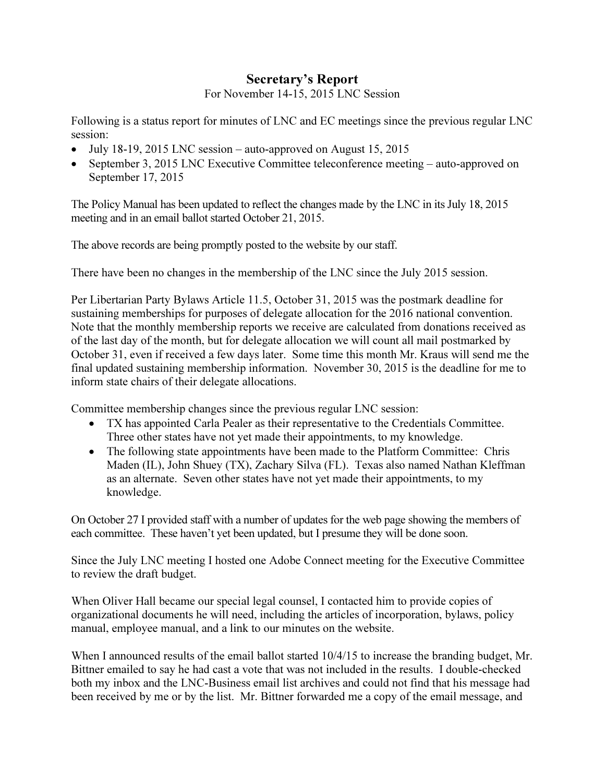## Secretary's Report

For November 14-15, 2015 LNC Session

Following is a status report for minutes of LNC and EC meetings since the previous regular LNC session:

- July 18-19, 2015 LNC session auto-approved on August 15, 2015
- September 3, 2015 LNC Executive Committee teleconference meeting auto-approved on September 17, 2015

The Policy Manual has been updated to reflect the changes made by the LNC in its July 18, 2015 meeting and in an email ballot started October 21, 2015.

The above records are being promptly posted to the website by our staff.

There have been no changes in the membership of the LNC since the July 2015 session.

Per Libertarian Party Bylaws Article 11.5, October 31, 2015 was the postmark deadline for sustaining memberships for purposes of delegate allocation for the 2016 national convention. Note that the monthly membership reports we receive are calculated from donations received as of the last day of the month, but for delegate allocation we will count all mail postmarked by October 31, even if received a few days later. Some time this month Mr. Kraus will send me the final updated sustaining membership information. November 30, 2015 is the deadline for me to inform state chairs of their delegate allocations.

Committee membership changes since the previous regular LNC session:

- TX has appointed Carla Pealer as their representative to the Credentials Committee. Three other states have not yet made their appointments, to my knowledge.
- The following state appointments have been made to the Platform Committee: Chris Maden (IL), John Shuey (TX), Zachary Silva (FL). Texas also named Nathan Kleffman as an alternate. Seven other states have not yet made their appointments, to my knowledge.

On October 27 I provided staff with a number of updates for the web page showing the members of each committee. These haven't yet been updated, but I presume they will be done soon.

Since the July LNC meeting I hosted one Adobe Connect meeting for the Executive Committee to review the draft budget.

When Oliver Hall became our special legal counsel, I contacted him to provide copies of organizational documents he will need, including the articles of incorporation, bylaws, policy manual, employee manual, and a link to our minutes on the website.

When I announced results of the email ballot started  $10/4/15$  to increase the branding budget, Mr. Bittner emailed to say he had cast a vote that was not included in the results. I double-checked both my inbox and the LNC-Business email list archives and could not find that his message had been received by me or by the list. Mr. Bittner forwarded me a copy of the email message, and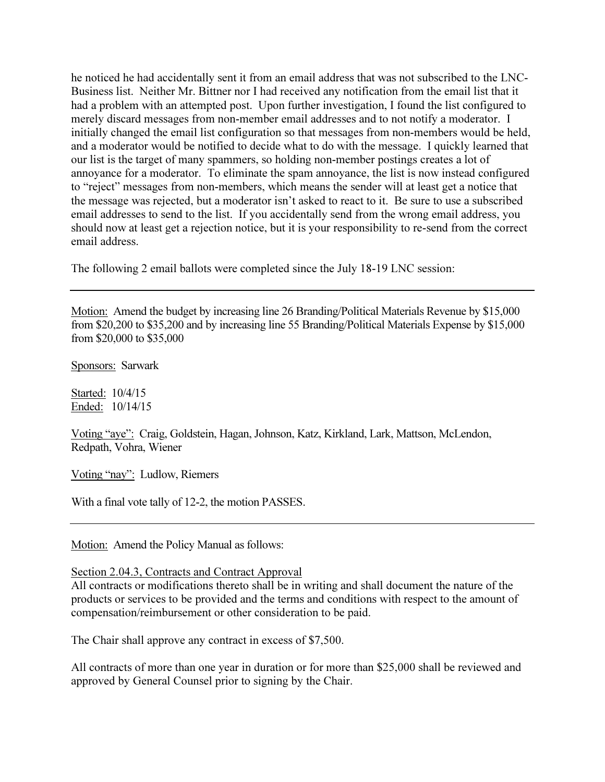he noticed he had accidentally sent it from an email address that was not subscribed to the LNC-Business list. Neither Mr. Bittner nor I had received any notification from the email list that it had a problem with an attempted post. Upon further investigation, I found the list configured to merely discard messages from non-member email addresses and to not notify a moderator. I initially changed the email list configuration so that messages from non-members would be held, and a moderator would be notified to decide what to do with the message. I quickly learned that our list is the target of many spammers, so holding non-member postings creates a lot of annoyance for a moderator. To eliminate the spam annoyance, the list is now instead configured to "reject" messages from non-members, which means the sender will at least get a notice that the message was rejected, but a moderator isn't asked to react to it. Be sure to use a subscribed email addresses to send to the list. If you accidentally send from the wrong email address, you should now at least get a rejection notice, but it is your responsibility to re-send from the correct email address.

The following 2 email ballots were completed since the July 18-19 LNC session:

Motion: Amend the budget by increasing line 26 Branding/Political Materials Revenue by \$15,000 from \$20,200 to \$35,200 and by increasing line 55 Branding/Political Materials Expense by \$15,000 from \$20,000 to \$35,000

Sponsors: Sarwark

Started: 10/4/15 Ended: 10/14/15

Voting "aye": Craig, Goldstein, Hagan, Johnson, Katz, Kirkland, Lark, Mattson, McLendon, Redpath, Vohra, Wiener

Voting "nay": Ludlow, Riemers

With a final vote tally of 12-2, the motion PASSES.

Motion: Amend the Policy Manual as follows:

Section 2.04.3, Contracts and Contract Approval

All contracts or modifications thereto shall be in writing and shall document the nature of the products or services to be provided and the terms and conditions with respect to the amount of compensation/reimbursement or other consideration to be paid.

The Chair shall approve any contract in excess of \$7,500.

All contracts of more than one year in duration or for more than \$25,000 shall be reviewed and approved by General Counsel prior to signing by the Chair.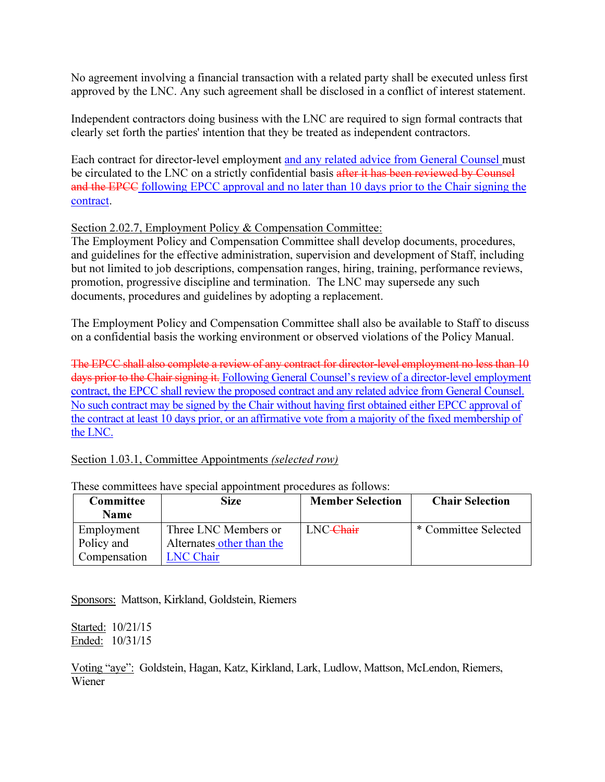No agreement involving a financial transaction with a related party shall be executed unless first approved by the LNC. Any such agreement shall be disclosed in a conflict of interest statement.

Independent contractors doing business with the LNC are required to sign formal contracts that clearly set forth the parties' intention that they be treated as independent contractors.

Each contract for director-level employment and any related advice from General Counsel must be circulated to the LNC on a strictly confidential basis after it has been reviewed by Counsel and the EPCC following EPCC approval and no later than 10 days prior to the Chair signing the contract.

## Section 2.02.7, Employment Policy & Compensation Committee:

The Employment Policy and Compensation Committee shall develop documents, procedures, and guidelines for the effective administration, supervision and development of Staff, including but not limited to job descriptions, compensation ranges, hiring, training, performance reviews, promotion, progressive discipline and termination. The LNC may supersede any such documents, procedures and guidelines by adopting a replacement.

The Employment Policy and Compensation Committee shall also be available to Staff to discuss on a confidential basis the working environment or observed violations of the Policy Manual.

The EPCC shall also complete a review of any contract for director-level employment no less than 10 days prior to the Chair signing it. Following General Counsel's review of a director-level employment contract, the EPCC shall review the proposed contract and any related advice from General Counsel. No such contract may be signed by the Chair without having first obtained either EPCC approval of the contract at least 10 days prior, or an affirmative vote from a majority of the fixed membership of the LNC.

## Section 1.03.1, Committee Appointments *(selected row)*

| Committee    | <b>Size</b>               | <b>Member Selection</b> | <b>Chair Selection</b> |
|--------------|---------------------------|-------------------------|------------------------|
| <b>Name</b>  |                           |                         |                        |
| Employment   | Three LNC Members or      | LNC-Chair               | * Committee Selected   |
| Policy and   | Alternates other than the |                         |                        |
| Compensation | <b>LNC Chair</b>          |                         |                        |

These committees have special appointment procedures as follows:

Sponsors: Mattson, Kirkland, Goldstein, Riemers

Started: 10/21/15 Ended: 10/31/15

Voting "aye": Goldstein, Hagan, Katz, Kirkland, Lark, Ludlow, Mattson, McLendon, Riemers, Wiener